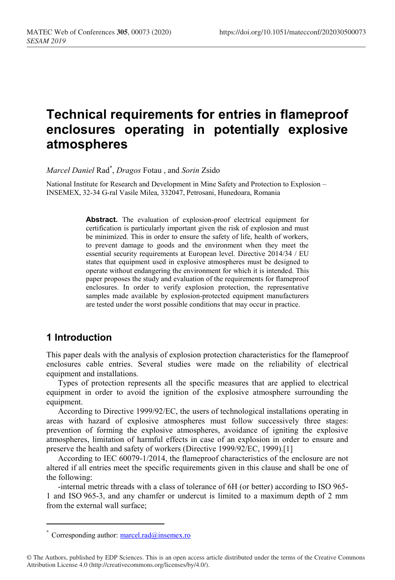# **Technical requirements for entries in flameproof enclosures operating in potentially explosive atmospheres**

*Marcel Daniel* Rad\* , *Dragos* Fotau , and *Sorin* Zsido

National Institute for Research and Development in Mine Safety and Protection to Explosion – INSEMEX, 32-34 G-ral Vasile Milea, 332047, Petrosani, Hunedoara, Romania

> **Abstract.** The evaluation of explosion-proof electrical equipment for certification is particularly important given the risk of explosion and must be minimized. This in order to ensure the safety of life, health of workers, to prevent damage to goods and the environment when they meet the essential security requirements at European level. Directive 2014/34 / EU states that equipment used in explosive atmospheres must be designed to operate without endangering the environment for which it is intended. This paper proposes the study and evaluation of the requirements for flameproof enclosures. In order to verify explosion protection, the representative samples made available by explosion-protected equipment manufacturers are tested under the worst possible conditions that may occur in practice.

# **1 Introduction**

 $\overline{a}$ 

This paper deals with the analysis of explosion protection characteristics for the flameproof enclosures cable entries. Several studies were made on the reliability of electrical equipment and installations.

Types of protection represents all the specific measures that are applied to electrical equipment in order to avoid the ignition of the explosive atmosphere surrounding the equipment.

According to Directive 1999/92/EC, the users of technological installations operating in areas with hazard of explosive atmospheres must follow successively three stages: prevention of forming the explosive atmospheres, avoidance of igniting the explosive atmospheres, limitation of harmful effects in case of an explosion in order to ensure and preserve the health and safety of workers (Directive 1999/92/EC, 1999).[1]

According to IEC 60079-1/2014, the flameproof characteristics of the enclosure are not altered if all entries meet the specific requirements given in this clause and shall be one of the following:

-internal metric threads with a class of tolerance of 6H (or better) according to ISO 965- 1 and ISO 965-3, and any chamfer or undercut is limited to a maximum depth of 2 mm from the external wall surface;

<sup>\*</sup> Corresponding author:  $marcel.read(a)$  insemex.ro

<sup>©</sup> The Authors, published by EDP Sciences. This is an open access article distributed under the terms of the Creative Commons Attribution License 4.0 (http://creativecommons.org/licenses/by/4.0/).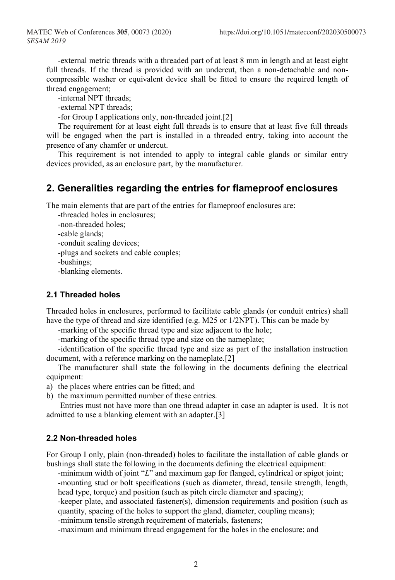-external metric threads with a threaded part of at least 8 mm in length and at least eight full threads. If the thread is provided with an undercut, then a non-detachable and noncompressible washer or equivalent device shall be fitted to ensure the required length of thread engagement;

-internal NPT threads;

-external NPT threads;

-for Group I applications only, non-threaded joint.[2]

The requirement for at least eight full threads is to ensure that at least five full threads will be engaged when the part is installed in a threaded entry, taking into account the presence of any chamfer or undercut.

This requirement is not intended to apply to integral cable glands or similar entry devices provided, as an enclosure part, by the manufacturer.

# **2. Generalities regarding the entries for flameproof enclosures**

The main elements that are part of the entries for flameproof enclosures are:

-threaded holes in enclosures;

-non-threaded holes;

-cable glands;

-conduit sealing devices;

-plugs and sockets and cable couples;

-bushings;

-blanking elements.

### **2.1 Threaded holes**

Threaded holes in enclosures, performed to facilitate cable glands (or conduit entries) shall have the type of thread and size identified (e.g. M25 or 1/2NPT). This can be made by

-marking of the specific thread type and size adjacent to the hole;

-marking of the specific thread type and size on the nameplate;

-identification of the specific thread type and size as part of the installation instruction document, with a reference marking on the nameplate.[2]

The manufacturer shall state the following in the documents defining the electrical equipment:

a) the places where entries can be fitted; and

b) the maximum permitted number of these entries.

Entries must not have more than one thread adapter in case an adapter is used. It is not admitted to use a blanking element with an adapter.[3]

### **2.2 Non-threaded holes**

For Group I only, plain (non-threaded) holes to facilitate the installation of cable glands or bushings shall state the following in the documents defining the electrical equipment:

-minimum width of joint "*L*" and maximum gap for flanged, cylindrical or spigot joint; -mounting stud or bolt specifications (such as diameter, thread, tensile strength, length,

head type, torque) and position (such as pitch circle diameter and spacing); -keeper plate, and associated fastener(s), dimension requirements and position (such as

quantity, spacing of the holes to support the gland, diameter, coupling means);

-minimum tensile strength requirement of materials, fasteners;

-maximum and minimum thread engagement for the holes in the enclosure; and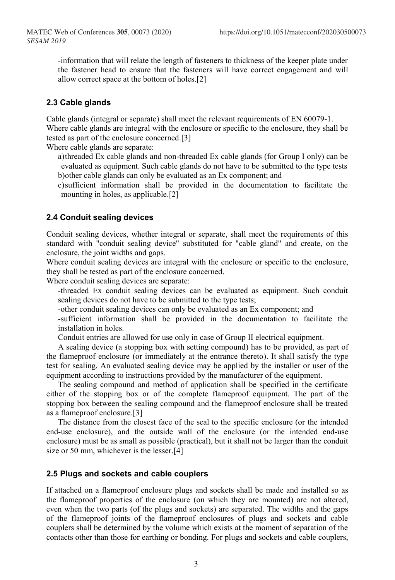-information that will relate the length of fasteners to thickness of the keeper plate under the fastener head to ensure that the fasteners will have correct engagement and will allow correct space at the bottom of holes.[2]

### **2.3 Cable glands**

Cable glands (integral or separate) shall meet the relevant requirements of EN 60079-1. Where cable glands are integral with the enclosure or specific to the enclosure, they shall be tested as part of the enclosure concerned.[3]

Where cable glands are separate:

- a)threaded Ex cable glands and non-threaded Ex cable glands (for Group I only) can be evaluated as equipment. Such cable glands do not have to be submitted to the type tests b)other cable glands can only be evaluated as an Ex component; and
- c)sufficient information shall be provided in the documentation to facilitate the mounting in holes, as applicable.[2]

#### **2.4 Conduit sealing devices**

Conduit sealing devices, whether integral or separate, shall meet the requirements of this standard with "conduit sealing device" substituted for "cable gland" and create, on the enclosure, the joint widths and gaps.

Where conduit sealing devices are integral with the enclosure or specific to the enclosure, they shall be tested as part of the enclosure concerned.

Where conduit sealing devices are separate:

-threaded Ex conduit sealing devices can be evaluated as equipment. Such conduit sealing devices do not have to be submitted to the type tests;

-other conduit sealing devices can only be evaluated as an Ex component; and

-sufficient information shall be provided in the documentation to facilitate the installation in holes.

Conduit entries are allowed for use only in case of Group II electrical equipment.

A sealing device (a stopping box with setting compound) has to be provided, as part of the flameproof enclosure (or immediately at the entrance thereto). It shall satisfy the type test for sealing. An evaluated sealing device may be applied by the installer or user of the equipment according to instructions provided by the manufacturer of the equipment.

The sealing compound and method of application shall be specified in the certificate either of the stopping box or of the complete flameproof equipment. The part of the stopping box between the sealing compound and the flameproof enclosure shall be treated as a flameproof enclosure.[3]

The distance from the closest face of the seal to the specific enclosure (or the intended end-use enclosure), and the outside wall of the enclosure (or the intended end-use enclosure) must be as small as possible (practical), but it shall not be larger than the conduit size or 50 mm, whichever is the lesser.[4]

#### **2.5 Plugs and sockets and cable couplers**

If attached on a flameproof enclosure plugs and sockets shall be made and installed so as the flameproof properties of the enclosure (on which they are mounted) are not altered, even when the two parts (of the plugs and sockets) are separated. The widths and the gaps of the flameproof joints of the flameproof enclosures of plugs and sockets and cable couplers shall be determined by the volume which exists at the moment of separation of the contacts other than those for earthing or bonding. For plugs and sockets and cable couplers,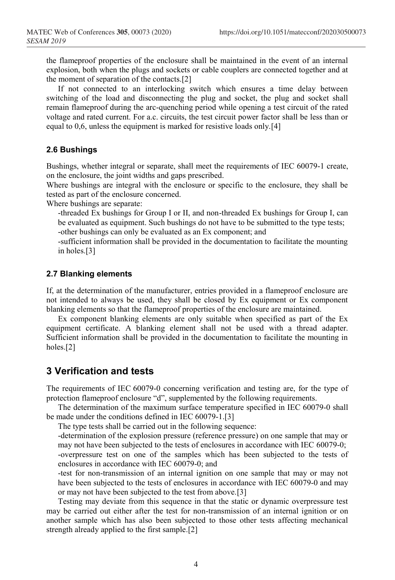the flameproof properties of the enclosure shall be maintained in the event of an internal explosion, both when the plugs and sockets or cable couplers are connected together and at the moment of separation of the contacts.[2]

If not connected to an interlocking switch which ensures a time delay between switching of the load and disconnecting the plug and socket, the plug and socket shall remain flameproof during the arc-quenching period while opening a test circuit of the rated voltage and rated current. For a.c. circuits, the test circuit power factor shall be less than or equal to 0,6, unless the equipment is marked for resistive loads only.[4]

### **2.6 Bushings**

Bushings, whether integral or separate, shall meet the requirements of IEC 60079-1 create, on the enclosure, the joint widths and gaps prescribed.

Where bushings are integral with the enclosure or specific to the enclosure, they shall be tested as part of the enclosure concerned.

Where bushings are separate:

-threaded Ex bushings for Group I or II, and non-threaded Ex bushings for Group I, can be evaluated as equipment. Such bushings do not have to be submitted to the type tests; -other bushings can only be evaluated as an Ex component; and

-sufficient information shall be provided in the documentation to facilitate the mounting in holes.[3]

### **2.7 Blanking elements**

If, at the determination of the manufacturer, entries provided in a flameproof enclosure are not intended to always be used, they shall be closed by Ex equipment or Ex component blanking elements so that the flameproof properties of the enclosure are maintained.

Ex component blanking elements are only suitable when specified as part of the Ex equipment certificate. A blanking element shall not be used with a thread adapter. Sufficient information shall be provided in the documentation to facilitate the mounting in holes.[2]

## **3 Verification and tests**

The requirements of IEC 60079-0 concerning verification and testing are, for the type of protection flameproof enclosure "d", supplemented by the following requirements.

The determination of the maximum surface temperature specified in IEC 60079-0 shall be made under the conditions defined in IEC 60079-1.[3]

The type tests shall be carried out in the following sequence:

-determination of the explosion pressure (reference pressure) on one sample that may or may not have been subjected to the tests of enclosures in accordance with IEC 60079-0; -overpressure test on one of the samples which has been subjected to the tests of enclosures in accordance with IEC 60079-0; and

-test for non-transmission of an internal ignition on one sample that may or may not have been subjected to the tests of enclosures in accordance with IEC 60079-0 and may or may not have been subjected to the test from above.[3]

Testing may deviate from this sequence in that the static or dynamic overpressure test may be carried out either after the test for non-transmission of an internal ignition or on another sample which has also been subjected to those other tests affecting mechanical strength already applied to the first sample.[2]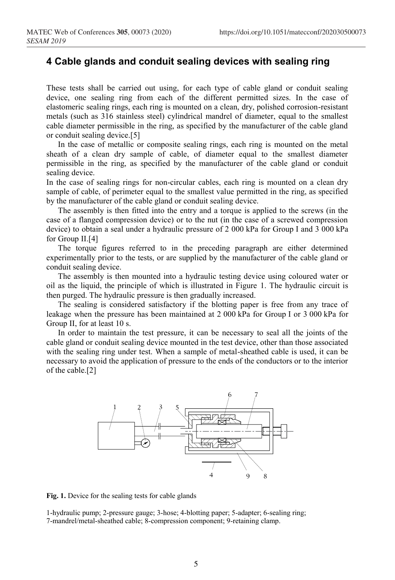# **4 Cable glands and conduit sealing devices with sealing ring**

These tests shall be carried out using, for each type of cable gland or conduit sealing device, one sealing ring from each of the different permitted sizes. In the case of elastomeric sealing rings, each ring is mounted on a clean, dry, polished corrosion-resistant metals (such as 316 stainless steel) cylindrical mandrel of diameter, equal to the smallest cable diameter permissible in the ring, as specified by the manufacturer of the cable gland or conduit sealing device.[5]

In the case of metallic or composite sealing rings, each ring is mounted on the metal sheath of a clean dry sample of cable, of diameter equal to the smallest diameter permissible in the ring, as specified by the manufacturer of the cable gland or conduit sealing device.

In the case of sealing rings for non-circular cables, each ring is mounted on a clean dry sample of cable, of perimeter equal to the smallest value permitted in the ring, as specified by the manufacturer of the cable gland or conduit sealing device.

The assembly is then fitted into the entry and a torque is applied to the screws (in the case of a flanged compression device) or to the nut (in the case of a screwed compression device) to obtain a seal under a hydraulic pressure of 2 000 kPa for Group I and 3 000 kPa for Group II.[4]

The torque figures referred to in the preceding paragraph are either determined experimentally prior to the tests, or are supplied by the manufacturer of the cable gland or conduit sealing device.

The assembly is then mounted into a hydraulic testing device using coloured water or oil as the liquid, the principle of which is illustrated in Figure 1. The hydraulic circuit is then purged. The hydraulic pressure is then gradually increased.

The sealing is considered satisfactory if the blotting paper is free from any trace of leakage when the pressure has been maintained at 2 000 kPa for Group I or 3 000 kPa for Group II, for at least 10 s.

In order to maintain the test pressure, it can be necessary to seal all the joints of the cable gland or conduit sealing device mounted in the test device, other than those associated with the sealing ring under test. When a sample of metal-sheathed cable is used, it can be necessary to avoid the application of pressure to the ends of the conductors or to the interior of the cable.[2]



Fig. 1. Device for the sealing tests for cable glands

1-hydraulic pump; 2-pressure gauge; 3-hose; 4-blotting paper; 5-adapter; 6-sealing ring; 7-mandrel/metal-sheathed cable; 8-compression component; 9-retaining clamp.